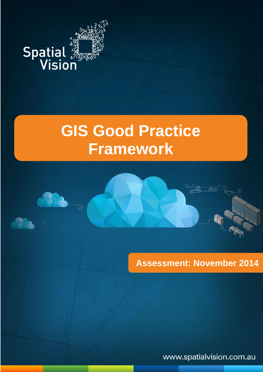# **Spatial 38**

 $\mathsf{P}\mathsf{Y}$   $\mathsf{P}\mathsf{Y}$   $\mathsf{P}\mathsf{Y}$   $\mathsf{P}\mathsf{Y}$   $\mathsf{P}\mathsf{Y}$ 

## **GIS Good Practice Framework**



Ø

**Assessment: November 2014** 

www.spatialvision.com.au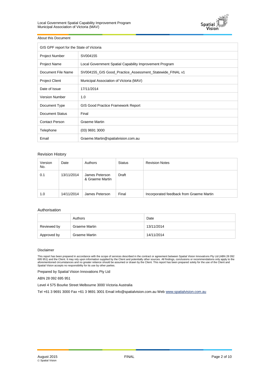

#### About this Document

| GIS GPF report for the State of Victoria |                                                          |  |
|------------------------------------------|----------------------------------------------------------|--|
| <b>Project Number</b>                    | SV004155                                                 |  |
| <b>Project Name</b>                      | Local Government Spatial Capability Improvement Program  |  |
| Document File Name                       | SV004155_GIS Good_Practice_Assessment_Statewide_FINAL v1 |  |
| <b>Project Client</b>                    | Municipal Association of Victoria (MAV)                  |  |
| Date of Issue                            | 17/11/2014                                               |  |
| <b>Version Number</b>                    | 1.0                                                      |  |
| Document Type                            | <b>GIS Good Practice Framework Report</b>                |  |
| <b>Document Status</b>                   | Final                                                    |  |
| <b>Contact Person</b>                    | <b>Graeme Martin</b>                                     |  |
| Telephone                                | $(03)$ 9691 3000                                         |  |
| Email                                    | Graeme.Martin@spatialvision.com.au                       |  |

#### Revision History

| Version<br>No. | Date       | Authors                           | <b>Status</b> | <b>Revision Notes</b>                    |
|----------------|------------|-----------------------------------|---------------|------------------------------------------|
| 0.1            | 13/11/2014 | James Peterson<br>& Graeme Martin | Draft         |                                          |
| 1.0            | 14/11/2014 | James Peterson                    | Final         | Incorporated feedback from Graeme Martin |

#### Authorisation

|             | Authors       | Date       |
|-------------|---------------|------------|
| Reviewed by | Graeme Martin | 13/11/2014 |
| Approved by | Graeme Martin | 14/11/2014 |

#### Disclaimer

This report has been prepared in accordance with the scope of services described in the contract or agreement between Spatial Vision Innovations Pty Ltd (ABN 28 092<br>695 951) and the Client. It may rely upon information sup

Prepared by Spatial Vision Innovations Pty Ltd

ABN 28 092 695 951

Level 4 575 Bourke Street Melbourne 3000 Victoria Australia

Tel +61 3 9691 3000 Fax +61 3 9691 3001 Email info@spatialvision.com.au Web www.spatialvision.com.au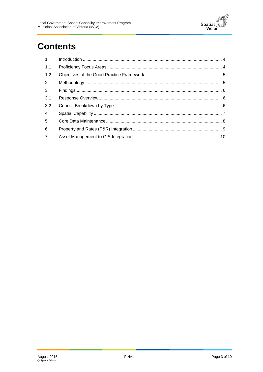

### **Contents**

| 1.             |  |
|----------------|--|
| 1.1            |  |
| 1.2            |  |
| 2.             |  |
| 3.             |  |
| 3.1            |  |
| 3.2            |  |
| 4.             |  |
| 5.             |  |
| 6.             |  |
| 7 <sub>1</sub> |  |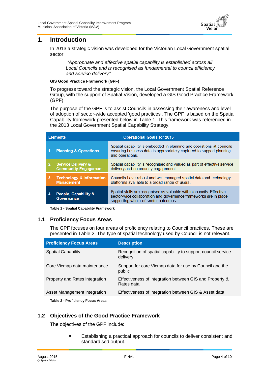

#### **1. Introduction**

In 2013 a strategic vision was developed for the Victorian Local Government spatial sector.

*"Appropriate and effective spatial capability is established across all Local Councils and is recognised as fundamental to council efficiency and service delivery"*

#### **GIS Good Practice Framework (GPF)**

To progress toward the strategic vision, the Local Government Spatial Reference Group, with the support of Spatial Vision, developed a GIS Good Practice Framework (GPF).

The purpose of the GPF is to assist Councils in assessing their awareness and level of adoption of sector-wide accepted 'good practices'. The GPF is based on the Spatial Capability framework presented below in [Table 1.](#page-3-0) This framework was referenced in the 2013 Local Government Spatial Capability Strategy.

| <b>Elements</b> |                                                              | <b>Operational Goals for 2015</b>                                                                                                                                                |
|-----------------|--------------------------------------------------------------|----------------------------------------------------------------------------------------------------------------------------------------------------------------------------------|
| -1.             | <b>Planning &amp; Operations</b>                             | Spatial capability is embedded in planning and operations at councils<br>ensuring business data is appropriately captured to support planning<br>and operations.                 |
| 2.              | <b>Service Delivery &amp;</b><br><b>Community Engagement</b> | Spatial capability is recognised and valued as part of effective service<br>delivery and community engagement.                                                                   |
| 3.              | <b>Technology &amp; Information</b><br><b>Management</b>     | Councils have robust and well managed spatial data and technology<br>platforms available to a broad range of users.                                                              |
|                 | People, Capability &<br>Governance                           | Spatial skills are recognised as valuable within councils. Effective<br>sector-wide collaboration and governance frameworks are in place<br>supporting whole-of-sector outcomes. |

**Table 1 - Spatial Capability Framework**

#### <span id="page-3-0"></span>**1.1 Proficiency Focus Areas**

The GPF focuses on four areas of proficiency relating to Council practices. These are presented in [Table 2.](#page-3-1) The type of spatial technology used by Council is not relevant.

| <b>Proficiency Focus Areas</b>           | <b>Description</b>                                                       |
|------------------------------------------|--------------------------------------------------------------------------|
| <b>Spatial Capability</b>                | Recognition of spatial capability to support council service<br>delivery |
| Core Vicmap data maintenance             | Support for core Vicmap data for use by Council and the<br>public        |
| Property and Rates integration           | Effectiveness of integration between GIS and Property &<br>Rates data    |
| Asset Management integration             | Effectiveness of integration between GIS & Asset data                    |
| <b>Table 2 - Proficiency Focus Areas</b> |                                                                          |

#### <span id="page-3-1"></span>**1.2 Objectives of the Good Practice Framework**

The objectives of the GPF include:

 Establishing a practical approach for councils to deliver consistent and standardised output.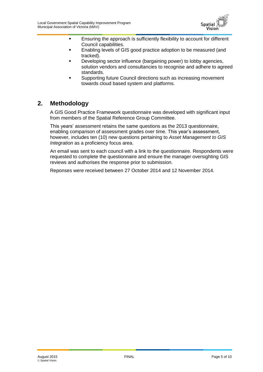

- **Ensuring the approach is sufficiently flexibility to account for different** Council capabilities.
- Enabling levels of GIS good practice adoption to be measured (and tracked).
- Developing sector influence (bargaining power) to lobby agencies, solution vendors and consultancies to recognise and adhere to agreed standards.
- Supporting future Council directions such as increasing movement towards cloud based system and platforms.

#### **2. Methodology**

A GIS Good Practice Framework questionnaire was developed with significant input from members of the Spatial Reference Group Committee.

This years' assessment retains the same questions as the 2013 questionnaire, enabling comparison of assessment grades over time. This year's assessment, however, includes ten (10) new questions pertaining to *Asset Management to GIS Integration* as a proficiency focus area.

An email was sent to each council with a link to the questionnaire. Respondents were requested to complete the questionnaire and ensure the manager oversighting GIS reviews and authorises the response prior to submission.

Reponses were received between 27 October 2014 and 12 November 2014.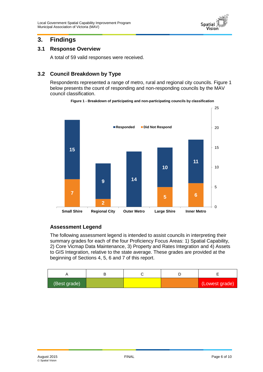

#### **3. Findings**

#### **3.1 Response Overview**

A total of 59 valid responses were received.

#### **3.2 Council Breakdown by Type**

Respondents represented a range of metro, rural and regional city councils. [Figure 1](#page-5-0) below presents the count of responding and non-responding councils by the MAV council classification.

<span id="page-5-0"></span>

**Figure 1 - Breakdown of participating and non-participating councils by classification**

#### **Assessment Legend**

The following assessment legend is intended to assist councils in interpreting their summary grades for each of the four Proficiency Focus Areas: 1) Spatial Capability, 2) Core Vicmap Data Maintenance, 3) Property and Rates Integration and 4) Assets to GIS Integration, relative to the state average. These grades are provided at the beginning of Sections 4, 5, 6 and 7 of this report.

| (Best grade) |  | (Lowest grade) |
|--------------|--|----------------|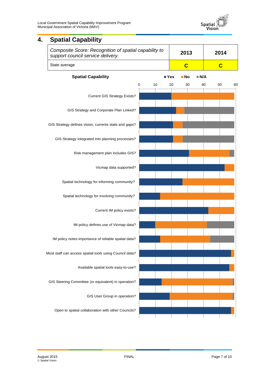

#### **4. Spatial Capability**

| Composite Score: Recognition of spatial capability to<br>support council service delivery. | 2013 | 2014 |
|--------------------------------------------------------------------------------------------|------|------|
| State average                                                                              |      |      |

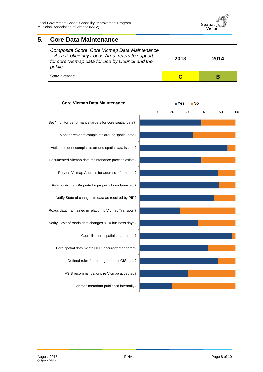

#### **5. Core Data Maintenance**

| Composite Score: Core Vicmap Data Maintenance<br>- As a Proficiency Focus Area, refers to support<br>for core Vicmap data for use by Council and the<br>public | 2013 | 2014 |
|----------------------------------------------------------------------------------------------------------------------------------------------------------------|------|------|
| State average                                                                                                                                                  |      |      |

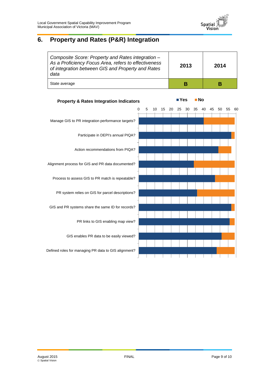

#### **6. Property and Rates (P&R) Integration**

| Composite Score: Property and Rates integration -<br>As a Proficiency Focus Area, refers to effectiveness<br>of integration between GIS and Property and Rates<br>data | 2013 | 2014 |
|------------------------------------------------------------------------------------------------------------------------------------------------------------------------|------|------|
| State average                                                                                                                                                          |      | в    |